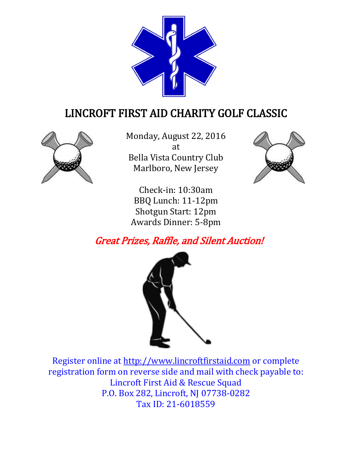

# LINCROFT FIRST AID CHARITY GOLF CLASSIC



Monday, August 22, 2016 at Bella Vista Country Club Marlboro, New Jersey



Check-in: 10:30am BBQ Lunch: 11-12pm Shotgun Start: 12pm Awards Dinner: 5-8pm

## Great Prizes, Raffle, and Silent Auction!



Register online at [http://www.lincroftfirstaid.com](http://www.lincroftfirstaid.com/) or complete registration form on reverse side and mail with check payable to: Lincroft First Aid & Rescue Squad P.O. Box 282, Lincroft, NJ 07738-0282 Tax ID: 21-6018559